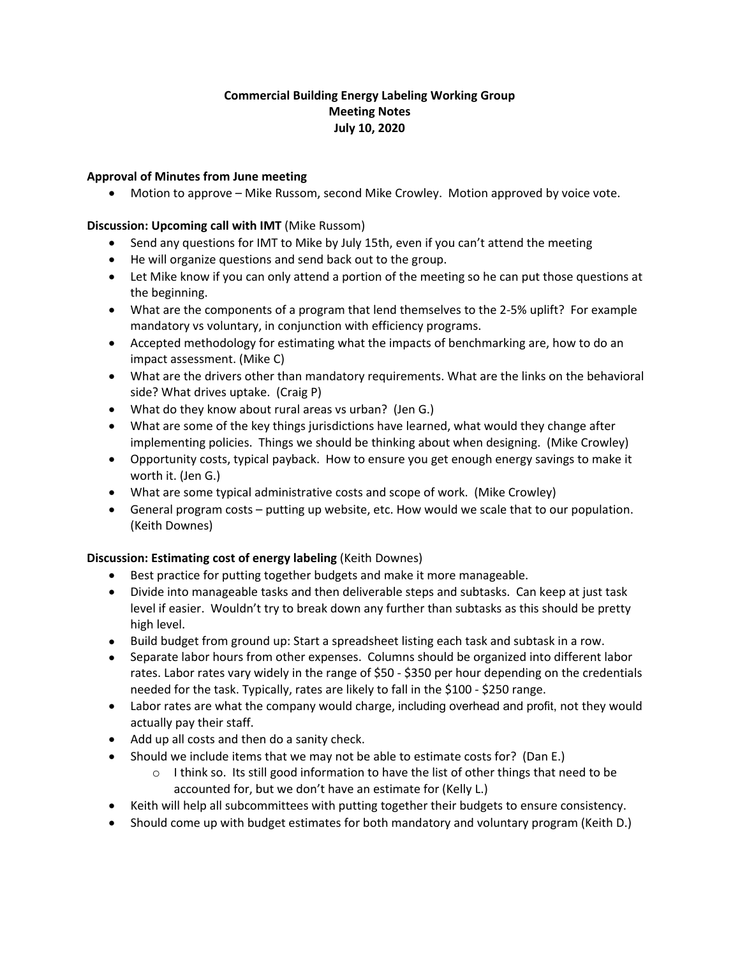# **Commercial Building Energy Labeling Working Group Meeting Notes July 10, 2020**

# **Approval of Minutes from June meeting**

• Motion to approve – Mike Russom, second Mike Crowley. Motion approved by voice vote.

#### **Discussion: Upcoming call with IMT** (Mike Russom)

- Send any questions for IMT to Mike by July 15th, even if you can't attend the meeting
- He will organize questions and send back out to the group.
- Let Mike know if you can only attend a portion of the meeting so he can put those questions at the beginning.
- What are the components of a program that lend themselves to the 2-5% uplift? For example mandatory vs voluntary, in conjunction with efficiency programs.
- Accepted methodology for estimating what the impacts of benchmarking are, how to do an impact assessment. (Mike C)
- What are the drivers other than mandatory requirements. What are the links on the behavioral side? What drives uptake. (Craig P)
- What do they know about rural areas vs urban? (Jen G.)
- What are some of the key things jurisdictions have learned, what would they change after implementing policies. Things we should be thinking about when designing. (Mike Crowley)
- Opportunity costs, typical payback. How to ensure you get enough energy savings to make it worth it. (Jen G.)
- What are some typical administrative costs and scope of work. (Mike Crowley)
- General program costs putting up website, etc. How would we scale that to our population. (Keith Downes)

# **Discussion: Estimating cost of energy labeling** (Keith Downes)

- Best practice for putting together budgets and make it more manageable.
- Divide into manageable tasks and then deliverable steps and subtasks. Can keep at just task level if easier. Wouldn't try to break down any further than subtasks as this should be pretty high level.
- Build budget from ground up: Start a spreadsheet listing each task and subtask in a row.
- Separate labor hours from other expenses. Columns should be organized into different labor rates. Labor rates vary widely in the range of \$50 - \$350 per hour depending on the credentials needed for the task. Typically, rates are likely to fall in the \$100 - \$250 range.
- Labor rates are what the company would charge, including overhead and profit, not they would actually pay their staff.
- Add up all costs and then do a sanity check.
- Should we include items that we may not be able to estimate costs for? (Dan E.)
	- $\circ$  I think so. Its still good information to have the list of other things that need to be accounted for, but we don't have an estimate for (Kelly L.)
- Keith will help all subcommittees with putting together their budgets to ensure consistency.
- Should come up with budget estimates for both mandatory and voluntary program (Keith D.)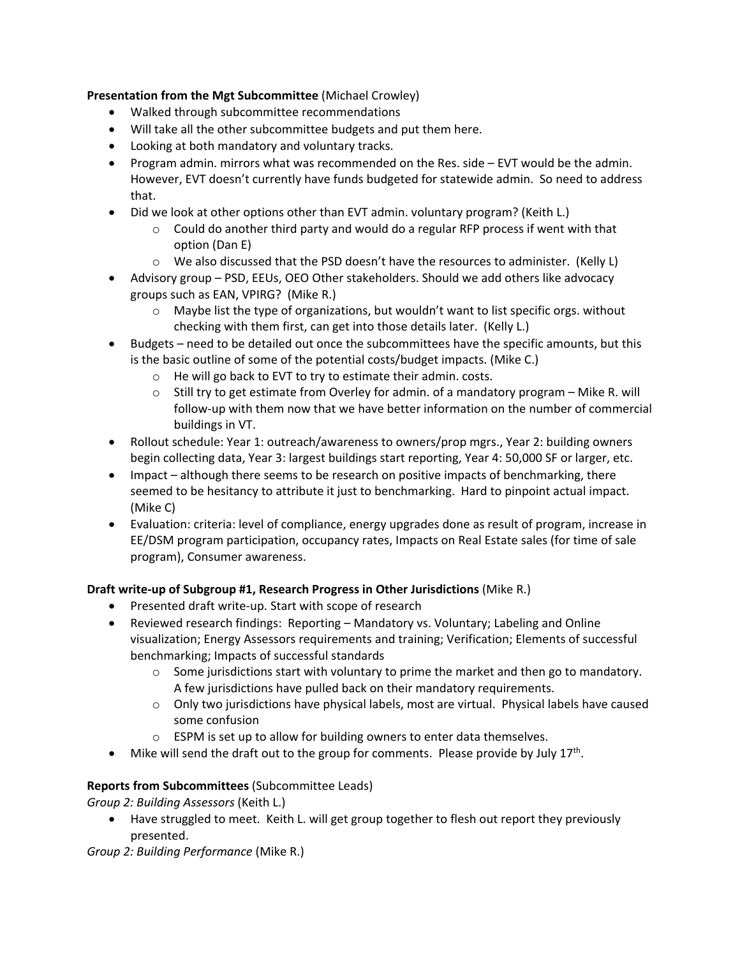**Presentation from the Mgt Subcommittee** (Michael Crowley)

- Walked through subcommittee recommendations
- Will take all the other subcommittee budgets and put them here.
- Looking at both mandatory and voluntary tracks.
- Program admin. mirrors what was recommended on the Res. side EVT would be the admin. However, EVT doesn't currently have funds budgeted for statewide admin. So need to address that.
- Did we look at other options other than EVT admin. voluntary program? (Keith L.)
	- $\circ$  Could do another third party and would do a regular RFP process if went with that option (Dan E)
	- $\circ$  We also discussed that the PSD doesn't have the resources to administer. (Kelly L)
- Advisory group PSD, EEUs, OEO Other stakeholders. Should we add others like advocacy groups such as EAN, VPIRG? (Mike R.)
	- $\circ$  Maybe list the type of organizations, but wouldn't want to list specific orgs. without checking with them first, can get into those details later. (Kelly L.)
- Budgets need to be detailed out once the subcommittees have the specific amounts, but this is the basic outline of some of the potential costs/budget impacts. (Mike C.)
	- o He will go back to EVT to try to estimate their admin. costs.
	- o Still try to get estimate from Overley for admin. of a mandatory program Mike R. will follow-up with them now that we have better information on the number of commercial buildings in VT.
- Rollout schedule: Year 1: outreach/awareness to owners/prop mgrs., Year 2: building owners begin collecting data, Year 3: largest buildings start reporting, Year 4: 50,000 SF or larger, etc.
- Impact although there seems to be research on positive impacts of benchmarking, there seemed to be hesitancy to attribute it just to benchmarking. Hard to pinpoint actual impact. (Mike C)
- Evaluation: criteria: level of compliance, energy upgrades done as result of program, increase in EE/DSM program participation, occupancy rates, Impacts on Real Estate sales (for time of sale program), Consumer awareness.

# **Draft write-up of Subgroup #1, Research Progress in Other Jurisdictions** (Mike R.)

- Presented draft write-up. Start with scope of research
- Reviewed research findings: Reporting Mandatory vs. Voluntary; Labeling and Online visualization; Energy Assessors requirements and training; Verification; Elements of successful benchmarking; Impacts of successful standards
	- $\circ$  Some jurisdictions start with voluntary to prime the market and then go to mandatory. A few jurisdictions have pulled back on their mandatory requirements.
	- o Only two jurisdictions have physical labels, most are virtual. Physical labels have caused some confusion
	- o ESPM is set up to allow for building owners to enter data themselves.
- Mike will send the draft out to the group for comments. Please provide by July  $17<sup>th</sup>$ .

# **Reports from Subcommittees** (Subcommittee Leads)

*Group 2: Building Assessors* (Keith L.)

• Have struggled to meet. Keith L. will get group together to flesh out report they previously presented.

*Group 2: Building Performance* (Mike R.)